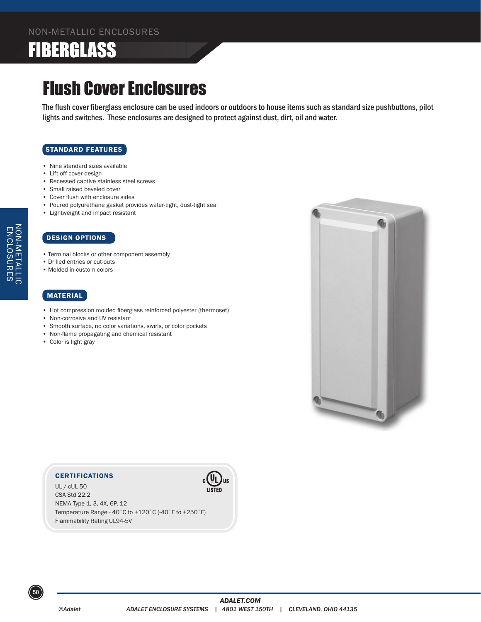# FIBERGLASS

## Flush Cover Enclosures

The flush cover fiberglass enclosure can be used indoors or outdoors to house items such as standard size pushbuttons, pilot lights and switches. These enclosures are designed to protect against dust, dirt, oil and water.

#### STANDARD FEATURES

- Nine standard sizes available
- Lift off cover design
- Recessed captive stainless steel screws
- Small raised beveled cover
- Cover flush with enclosure sides
- Poured polyurethane gasket provides water-tight, dust-tight seal
- Lightweight and impact resistant

#### DESIGN OPTIONS

- Terminal blocks or other component assembly
- Drilled entries or cut-outs
- Molded in custom colors

### MATERIAL

NON-METALLIC ENCLOSURES

NON-METALLIC<br>ENCLOSURES

- Hot compression molded fiberglass reinforced polyester (thermoset)
- Non-corrosive and UV resistant
- Smooth surface, no color variations, swirls, or color pockets
- Non-flame propagating and chemical resistant
- Color is light gray



#### **CERTIFICATIONS**